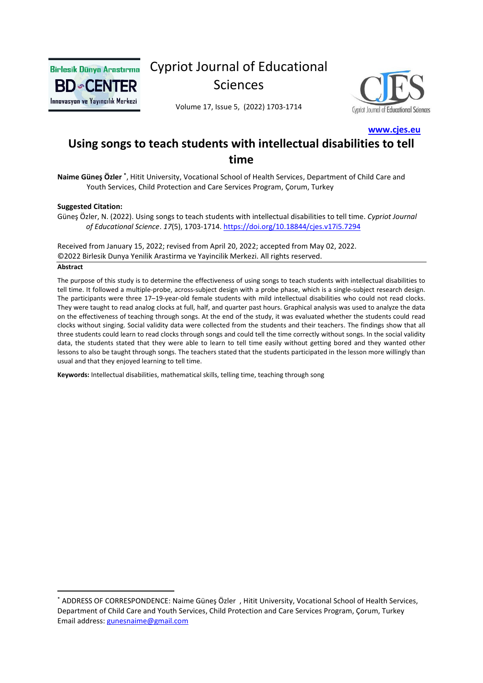

# Cypriot Journal of Educational Sciences



Volume 17, Issue 5, (2022) 1703-1714

 **[www.cjes.eu](http://www.cjes.eu/)**

## **Using songs to teach students with intellectual disabilities to tell time**

Naime Güneş Özler<sup>\*</sup>, Hitit University, Vocational School of Health Services, Department of Child Care and Youth Services, Child Protection and Care Services Program, Çorum, Turkey

#### **Suggested Citation:**

Güneş Özler, N. (2022). Using songs to teach students with intellectual disabilities to tell time. *Cypriot Journal of Educational Science*. *17*(5), 1703-1714.<https://doi.org/10.18844/cjes.v17i5.7294>

Received from January 15, 2022; revised from April 20, 2022; accepted from May 02, 2022. ©2022 Birlesik Dunya Yenilik Arastirma ve Yayincilik Merkezi. All rights reserved.

#### **Abstract**

The purpose of this study is to determine the effectiveness of using songs to teach students with intellectual disabilities to tell time. It followed a multiple-probe, across-subject design with a probe phase, which is a single-subject research design. The participants were three 17–19-year-old female students with mild intellectual disabilities who could not read clocks. They were taught to read analog clocks at full, half, and quarter past hours. Graphical analysis was used to analyze the data on the effectiveness of teaching through songs. At the end of the study, it was evaluated whether the students could read clocks without singing. Social validity data were collected from the students and their teachers. The findings show that all three students could learn to read clocks through songs and could tell the time correctly without songs. In the social validity data, the students stated that they were able to learn to tell time easily without getting bored and they wanted other lessons to also be taught through songs. The teachers stated that the students participated in the lesson more willingly than usual and that they enjoyed learning to tell time.

**Keywords:** Intellectual disabilities, mathematical skills, telling time, teaching through song

<sup>\*</sup> ADDRESS OF CORRESPONDENCE: Naime Güneş Özler , Hitit University, Vocational School of Health Services, Department of Child Care and Youth Services, Child Protection and Care Services Program, Çorum, Turkey Email address: [gunesnaime@gmail.com](mailto:gunesnaime@gmail.com)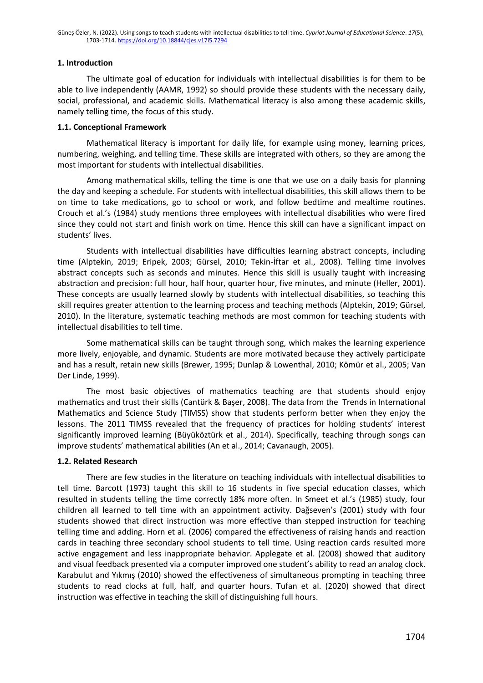### **1. Introduction**

The ultimate goal of education for individuals with intellectual disabilities is for them to be able to live independently (AAMR, 1992) so should provide these students with the necessary daily, social, professional, and academic skills. Mathematical literacy is also among these academic skills, namely telling time, the focus of this study.

#### **1.1. Conceptional Framework**

Mathematical literacy is important for daily life, for example using money, learning prices, numbering, weighing, and telling time. These skills are integrated with others, so they are among the most important for students with intellectual disabilities.

Among mathematical skills, telling the time is one that we use on a daily basis for planning the day and keeping a schedule. For students with intellectual disabilities, this skill allows them to be on time to take medications, go to school or work, and follow bedtime and mealtime routines. Crouch et al.'s (1984) study mentions three employees with intellectual disabilities who were fired since they could not start and finish work on time. Hence this skill can have a significant impact on students' lives.

Students with intellectual disabilities have difficulties learning abstract concepts, including time (Alptekin, 2019; Eripek, 2003; Gürsel, 2010; Tekin-İftar et al., 2008). Telling time involves abstract concepts such as seconds and minutes. Hence this skill is usually taught with increasing abstraction and precision: full hour, half hour, quarter hour, five minutes, and minute (Heller, 2001). These concepts are usually learned slowly by students with intellectual disabilities, so teaching this skill requires greater attention to the learning process and teaching methods (Alptekin, 2019; Gürsel, 2010). In the literature, systematic teaching methods are most common for teaching students with intellectual disabilities to tell time.

Some mathematical skills can be taught through song, which makes the learning experience more lively, enjoyable, and dynamic. Students are more motivated because they actively participate and has a result, retain new skills (Brewer, 1995; Dunlap & Lowenthal, 2010; Kömür et al., 2005; Van Der Linde, 1999).

The most basic objectives of mathematics teaching are that students should enjoy mathematics and trust their skills (Cantürk & Başer, 2008). The data from the Trends in International Mathematics and Science Study (TIMSS) show that students perform better when they enjoy the lessons. The 2011 TIMSS revealed that the frequency of practices for holding students' interest significantly improved learning (Büyüköztürk et al., 2014). Specifically, teaching through songs can improve students' mathematical abilities (An et al., 2014; Cavanaugh, 2005).

## **1.2. Related Research**

There are few studies in the literature on teaching individuals with intellectual disabilities to tell time. Barcott (1973) taught this skill to 16 students in five special education classes, which resulted in students telling the time correctly 18% more often. In Smeet et al.'s (1985) study, four children all learned to tell time with an appointment activity. Dağseven's (2001) study with four students showed that direct instruction was more effective than stepped instruction for teaching telling time and adding. Horn et al. (2006) compared the effectiveness of raising hands and reaction cards in teaching three secondary school students to tell time. Using reaction cards resulted more active engagement and less inappropriate behavior. Applegate et al. (2008) showed that auditory and visual feedback presented via a computer improved one student's ability to read an analog clock. Karabulut and Yıkmış (2010) showed the effectiveness of simultaneous prompting in teaching three students to read clocks at full, half, and quarter hours. Tufan et al. (2020) showed that direct instruction was effective in teaching the skill of distinguishing full hours.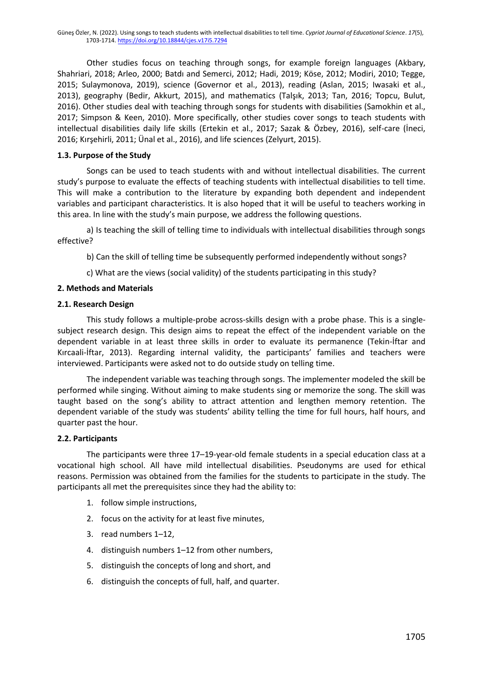Other studies focus on teaching through songs, for example foreign languages (Akbary, Shahriari, 2018; Arleo, 2000; Batdı and Semerci, 2012; Hadi, 2019; Köse, 2012; Modiri, 2010; Tegge, 2015; Sulaymonova, 2019), science (Governor et al., 2013), reading (Aslan, 2015; Iwasaki et al., 2013), geography (Bedir, Akkurt, 2015), and mathematics (Talşık, 2013; Tan, 2016; Topcu, Bulut, 2016). Other studies deal with teaching through songs for students with disabilities (Samokhin et al., 2017; Simpson & Keen, 2010). More specifically, other studies cover songs to teach students with intellectual disabilities daily life skills (Ertekin et al., 2017; Sazak & Özbey, 2016), self-care (İneci, 2016; Kırşehirli, 2011; Ünal et al., 2016), and life sciences (Zelyurt, 2015).

#### **1.3. Purpose of the Study**

Songs can be used to teach students with and without intellectual disabilities. The current study's purpose to evaluate the effects of teaching students with intellectual disabilities to tell time. This will make a contribution to the literature by expanding both dependent and independent variables and participant characteristics. It is also hoped that it will be useful to teachers working in this area. In line with the study's main purpose, we address the following questions.

a) Is teaching the skill of telling time to individuals with intellectual disabilities through songs effective?

b) Can the skill of telling time be subsequently performed independently without songs?

c) What are the views (social validity) of the students participating in this study?

#### **2. Methods and Materials**

#### **2.1. Research Design**

This study follows a multiple-probe across-skills design with a probe phase. This is a singlesubject research design. This design aims to repeat the effect of the independent variable on the dependent variable in at least three skills in order to evaluate its permanence (Tekin-İftar and Kırcaali-İftar, 2013). Regarding internal validity, the participants' families and teachers were interviewed. Participants were asked not to do outside study on telling time.

The independent variable was teaching through songs. The implementer modeled the skill be performed while singing. Without aiming to make students sing or memorize the song. The skill was taught based on the song's ability to attract attention and lengthen memory retention. The dependent variable of the study was students' ability telling the time for full hours, half hours, and quarter past the hour.

#### **2.2. Participants**

The participants were three 17–19-year-old female students in a special education class at a vocational high school. All have mild intellectual disabilities. Pseudonyms are used for ethical reasons. Permission was obtained from the families for the students to participate in the study. The participants all met the prerequisites since they had the ability to:

- 1. follow simple instructions,
- 2. focus on the activity for at least five minutes,
- 3. read numbers 1–12,
- 4. distinguish numbers 1–12 from other numbers,
- 5. distinguish the concepts of long and short, and
- 6. distinguish the concepts of full, half, and quarter.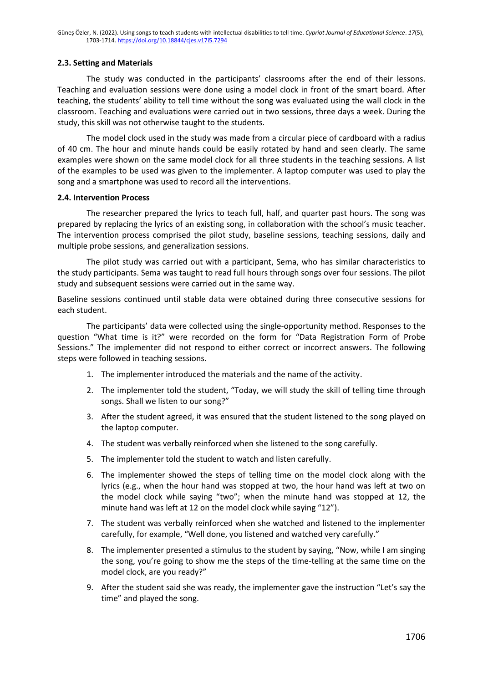#### **2.3. Setting and Materials**

The study was conducted in the participants' classrooms after the end of their lessons. Teaching and evaluation sessions were done using a model clock in front of the smart board. After teaching, the students' ability to tell time without the song was evaluated using the wall clock in the classroom. Teaching and evaluations were carried out in two sessions, three days a week. During the study, this skill was not otherwise taught to the students.

The model clock used in the study was made from a circular piece of cardboard with a radius of 40 cm. The hour and minute hands could be easily rotated by hand and seen clearly. The same examples were shown on the same model clock for all three students in the teaching sessions. A list of the examples to be used was given to the implementer. A laptop computer was used to play the song and a smartphone was used to record all the interventions.

#### **2.4. Intervention Process**

The researcher prepared the lyrics to teach full, half, and quarter past hours. The song was prepared by replacing the lyrics of an existing song, in collaboration with the school's music teacher. The intervention process comprised the pilot study, baseline sessions, teaching sessions, daily and multiple probe sessions, and generalization sessions.

The pilot study was carried out with a participant, Sema, who has similar characteristics to the study participants. Sema was taught to read full hours through songs over four sessions. The pilot study and subsequent sessions were carried out in the same way.

Baseline sessions continued until stable data were obtained during three consecutive sessions for each student.

The participants' data were collected using the single-opportunity method. Responses to the question "What time is it?" were recorded on the form for "Data Registration Form of Probe Sessions." The implementer did not respond to either correct or incorrect answers. The following steps were followed in teaching sessions.

- 1. The implementer introduced the materials and the name of the activity.
- 2. The implementer told the student, "Today, we will study the skill of telling time through songs. Shall we listen to our song?"
- 3. After the student agreed, it was ensured that the student listened to the song played on the laptop computer.
- 4. The student was verbally reinforced when she listened to the song carefully.
- 5. The implementer told the student to watch and listen carefully.
- 6. The implementer showed the steps of telling time on the model clock along with the lyrics (e.g., when the hour hand was stopped at two, the hour hand was left at two on the model clock while saying "two"; when the minute hand was stopped at 12, the minute hand was left at 12 on the model clock while saying "12").
- 7. The student was verbally reinforced when she watched and listened to the implementer carefully, for example, "Well done, you listened and watched very carefully."
- 8. The implementer presented a stimulus to the student by saying, "Now, while I am singing the song, you're going to show me the steps of the time-telling at the same time on the model clock, are you ready?"
- 9. After the student said she was ready, the implementer gave the instruction "Let's say the time" and played the song.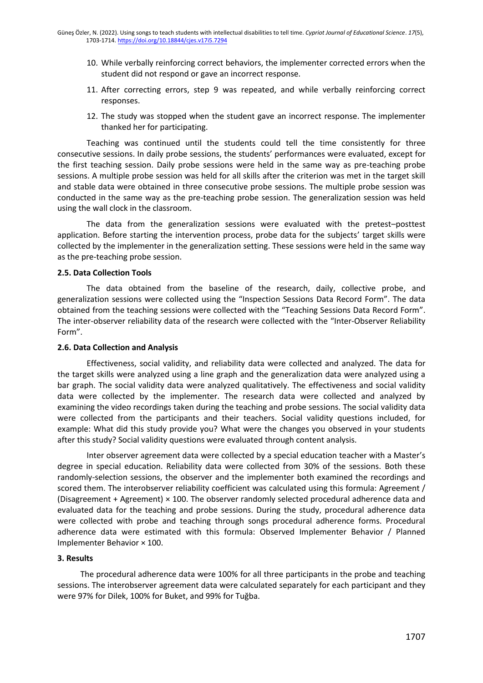- 10. While verbally reinforcing correct behaviors, the implementer corrected errors when the student did not respond or gave an incorrect response.
- 11. After correcting errors, step 9 was repeated, and while verbally reinforcing correct responses.
- 12. The study was stopped when the student gave an incorrect response. The implementer thanked her for participating.

Teaching was continued until the students could tell the time consistently for three consecutive sessions. In daily probe sessions, the students' performances were evaluated, except for the first teaching session. Daily probe sessions were held in the same way as pre-teaching probe sessions. A multiple probe session was held for all skills after the criterion was met in the target skill and stable data were obtained in three consecutive probe sessions. The multiple probe session was conducted in the same way as the pre-teaching probe session. The generalization session was held using the wall clock in the classroom.

The data from the generalization sessions were evaluated with the pretest–posttest application. Before starting the intervention process, probe data for the subjects' target skills were collected by the implementer in the generalization setting. These sessions were held in the same way as the pre-teaching probe session.

#### **2.5. Data Collection Tools**

The data obtained from the baseline of the research, daily, collective probe, and generalization sessions were collected using the "Inspection Sessions Data Record Form". The data obtained from the teaching sessions were collected with the "Teaching Sessions Data Record Form". The inter-observer reliability data of the research were collected with the "Inter-Observer Reliability Form".

#### **2.6. Data Collection and Analysis**

Effectiveness, social validity, and reliability data were collected and analyzed. The data for the target skills were analyzed using a line graph and the generalization data were analyzed using a bar graph. The social validity data were analyzed qualitatively. The effectiveness and social validity data were collected by the implementer. The research data were collected and analyzed by examining the video recordings taken during the teaching and probe sessions. The social validity data were collected from the participants and their teachers. Social validity questions included, for example: What did this study provide you? What were the changes you observed in your students after this study? Social validity questions were evaluated through content analysis.

Inter observer agreement data were collected by a special education teacher with a Master's degree in special education. Reliability data were collected from 30% of the sessions. Both these randomly-selection sessions, the observer and the implementer both examined the recordings and scored them. The interobserver reliability coefficient was calculated using this formula: Agreement / (Disagreement + Agreement) × 100. The observer randomly selected procedural adherence data and evaluated data for the teaching and probe sessions. During the study, procedural adherence data were collected with probe and teaching through songs procedural adherence forms. Procedural adherence data were estimated with this formula: Observed Implementer Behavior / Planned Implementer Behavior × 100.

#### **3. Results**

The procedural adherence data were 100% for all three participants in the probe and teaching sessions. The interobserver agreement data were calculated separately for each participant and they were 97% for Dilek, 100% for Buket, and 99% for Tuğba.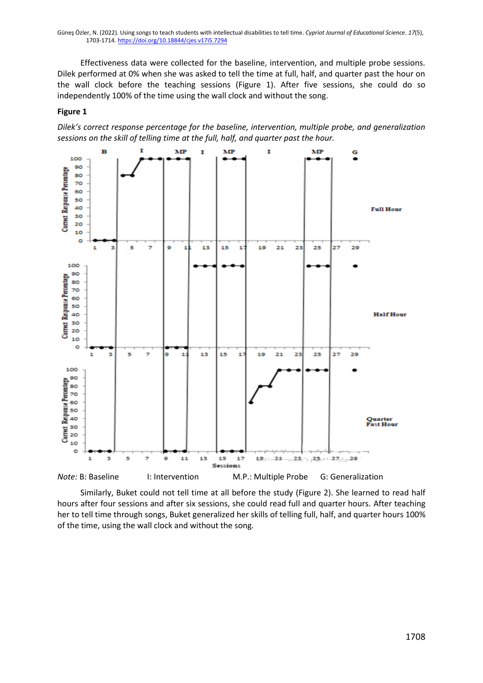Effectiveness data were collected for the baseline, intervention, and multiple probe sessions. Dilek performed at 0% when she was asked to tell the time at full, half, and quarter past the hour on the wall clock before the teaching sessions (Figure 1). After five sessions, she could do so independently 100% of the time using the wall clock and without the song.

#### **Figure 1**

*Dilek's correct response percentage for the baseline, intervention, multiple probe, and generalization sessions on the skill of telling time at the full, half, and quarter past the hour.* 



Similarly, Buket could not tell time at all before the study (Figure 2). She learned to read half hours after four sessions and after six sessions, she could read full and quarter hours. After teaching her to tell time through songs, Buket generalized her skills of telling full, half, and quarter hours 100% of the time, using the wall clock and without the song.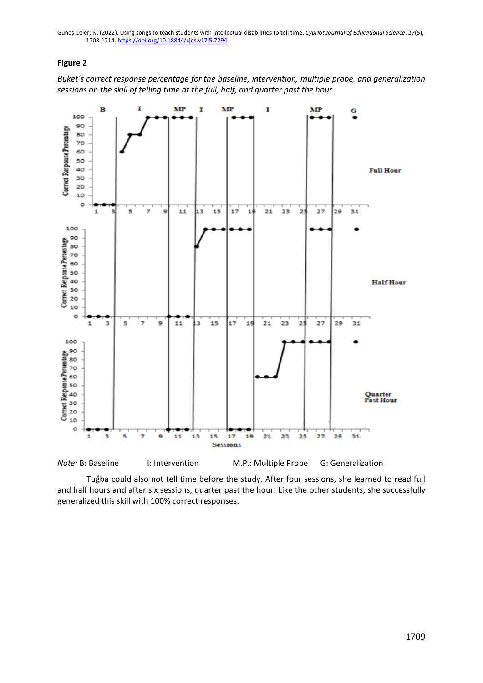## **Figure 2**

*Buket's correct response percentage for the baseline, intervention, multiple probe, and generalization sessions on the skill of telling time at the full, half, and quarter past the hour.* 



Tuğba could also not tell time before the study. After four sessions, she learned to read full and half hours and after six sessions, quarter past the hour. Like the other students, she successfully generalized this skill with 100% correct responses.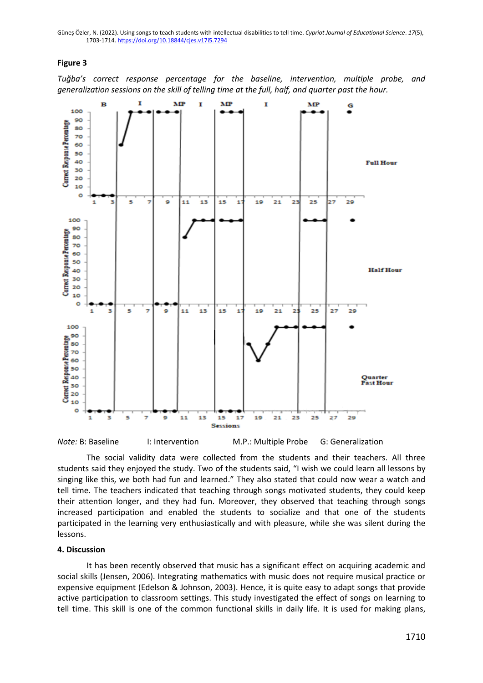#### **Figure 3**

*Tuğba's correct response percentage for the baseline, intervention, multiple probe, and generalization sessions on the skill of telling time at the full, half, and quarter past the hour.*



The social validity data were collected from the students and their teachers. All three students said they enjoyed the study. Two of the students said, "I wish we could learn all lessons by singing like this, we both had fun and learned." They also stated that could now wear a watch and tell time. The teachers indicated that teaching through songs motivated students, they could keep their attention longer, and they had fun. Moreover, they observed that teaching through songs increased participation and enabled the students to socialize and that one of the students participated in the learning very enthusiastically and with pleasure, while she was silent during the lessons.

#### **4. Discussion**

It has been recently observed that music has a significant effect on acquiring academic and social skills (Jensen, 2006). Integrating mathematics with music does not require musical practice or expensive equipment (Edelson & Johnson, 2003). Hence, it is quite easy to adapt songs that provide active participation to classroom settings. This study investigated the effect of songs on learning to tell time. This skill is one of the common functional skills in daily life. It is used for making plans,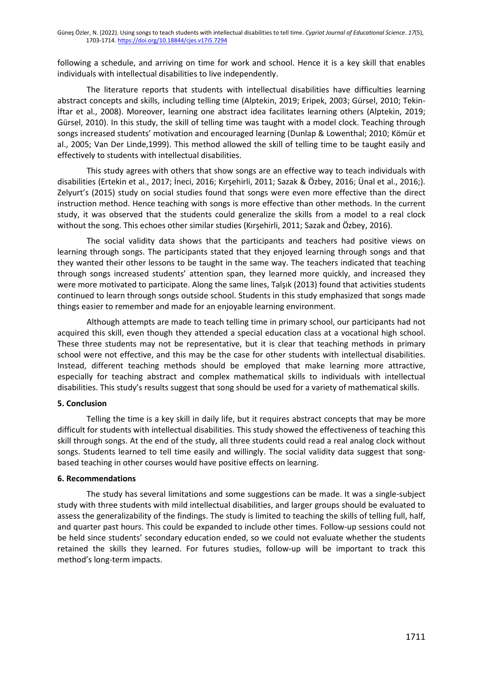following a schedule, and arriving on time for work and school. Hence it is a key skill that enables individuals with intellectual disabilities to live independently.

The literature reports that students with intellectual disabilities have difficulties learning abstract concepts and skills, including telling time (Alptekin, 2019; Eripek, 2003; Gürsel, 2010; Tekin-İftar et al., 2008). Moreover, learning one abstract idea facilitates learning others (Alptekin, 2019; Gürsel, 2010). In this study, the skill of telling time was taught with a model clock. Teaching through songs increased students' motivation and encouraged learning (Dunlap & Lowenthal; 2010; Kömür et al., 2005; Van Der Linde,1999). This method allowed the skill of telling time to be taught easily and effectively to students with intellectual disabilities.

This study agrees with others that show songs are an effective way to teach individuals with disabilities (Ertekin et al., 2017; İneci, 2016; Kırşehirli, 2011; Sazak & Özbey, 2016; Ünal et al., 2016;). Zelyurt's (2015) study on social studies found that songs were even more effective than the direct instruction method. Hence teaching with songs is more effective than other methods. In the current study, it was observed that the students could generalize the skills from a model to a real clock without the song. This echoes other similar studies (Kırşehirli, 2011; Sazak and Özbey, 2016).

The social validity data shows that the participants and teachers had positive views on learning through songs. The participants stated that they enjoyed learning through songs and that they wanted their other lessons to be taught in the same way. The teachers indicated that teaching through songs increased students' attention span, they learned more quickly, and increased they were more motivated to participate. Along the same lines, Talşık (2013) found that activities students continued to learn through songs outside school. Students in this study emphasized that songs made things easier to remember and made for an enjoyable learning environment.

Although attempts are made to teach telling time in primary school, our participants had not acquired this skill, even though they attended a special education class at a vocational high school. These three students may not be representative, but it is clear that teaching methods in primary school were not effective, and this may be the case for other students with intellectual disabilities. Instead, different teaching methods should be employed that make learning more attractive, especially for teaching abstract and complex mathematical skills to individuals with intellectual disabilities. This study's results suggest that song should be used for a variety of mathematical skills.

## **5. Conclusion**

Telling the time is a key skill in daily life, but it requires abstract concepts that may be more difficult for students with intellectual disabilities. This study showed the effectiveness of teaching this skill through songs. At the end of the study, all three students could read a real analog clock without songs. Students learned to tell time easily and willingly. The social validity data suggest that songbased teaching in other courses would have positive effects on learning.

#### **6. Recommendations**

The study has several limitations and some suggestions can be made. It was a single-subject study with three students with mild intellectual disabilities, and larger groups should be evaluated to assess the generalizability of the findings. The study is limited to teaching the skills of telling full, half, and quarter past hours. This could be expanded to include other times. Follow-up sessions could not be held since students' secondary education ended, so we could not evaluate whether the students retained the skills they learned. For futures studies, follow-up will be important to track this method's long-term impacts.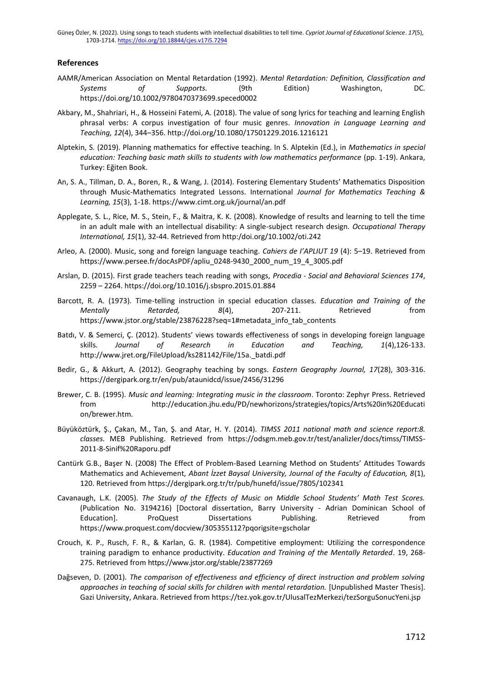#### **References**

- AAMR/American Association on Mental Retardation (1992). *Mental Retardation: Definition, Classification and Systems of Supports.* (9th Edition) Washington, DC. https://doi.org/10.1002/9780470373699.speced0002
- Akbary, M., Shahriari, H., & Hosseini Fatemi, A. (2018). The value of song lyrics for teaching and learning English phrasal verbs: A corpus investigation of four music genres. *Innovation in Language Learning and Teaching, 12*(4), 344–356. http://doi.org/10.1080/17501229.2016.1216121
- Alptekin, S. (2019). Planning mathematics for effective teaching. In S. Alptekin (Ed.), in *Mathematics in special education: Teaching basic math skills to students with low mathematics performance* (pp. 1-19). Ankara, Turkey: Eğiten Book.
- An, S. A., Tillman, D. A., Boren, R., & Wang, J. (2014). Fostering Elementary Students' Mathematics Disposition through Music-Mathematics Integrated Lessons. International *Journal for Mathematics Teaching & Learning, 15*(3), 1-18. https://www.cimt.org.uk/journal/an.pdf
- Applegate, S. L., Rice, M. S., Stein, F., & Maitra, K. K. (2008). Knowledge of results and learning to tell the time in an adult male with an intellectual disability: A single-subject research design. *Occupational Therapy International, 15*(1), 32-44. Retrieved from http:/doi.org/10.1002/oti.242
- Arleo, A. (2000). Music, song and foreign language teaching. *Cahiers de I'APLIUT 19* (4): 5–19. Retrieved from [https://www.persee.fr/docAsPDF/apliu\\_0248-9430\\_2000\\_num\\_19\\_4\\_3005.pdf](https://www.persee.fr/docAsPDF/apliu_0248-9430_2000_num_19_4_3005.pdf)
- Arslan, D. (2015). First grade teachers teach reading with songs, *Procedia - Social and Behavioral Sciences 174*, 2259 – 2264.<https://doi.org/10.1016/j.sbspro.2015.01.884>
- Barcott, R. A. (1973). Time-telling instruction in special education classes. *Education and Training of the Mentally Retarded, 8*(4), 207-211. Retrieved from https://www.jstor.org/stable/23876228?seq=1#metadata\_info\_tab\_contents
- Batdı, V. & Semerci, Ç. (2012). Students' views towards effectiveness of songs in developing foreign language skills*. Journal of Research in Education and Teaching, 1*(4),126-133. http://www.jret.org/FileUpload/ks281142/File/15a.\_batdi.pdf
- Bedir, G., & Akkurt, A. (2012). Geography teaching by songs. *Eastern Geography Journal, 17*(28), 303-316. https://dergipark.org.tr/en/pub/ataunidcd/issue/2456/31296
- Brewer, C. B. (1995). *Music and learning: Integrating music in the classroom*. Toronto: Zephyr Press. Retrieved from http://education.jhu.edu/PD/newhorizons/strategies/topics/Arts%20in%20Educati on/brewer.htm.
- Büyüköztürk, Ş., Çakan, M., Tan, Ş. and Atar, H. Y. (2014). *TIMSS 2011 national math and science report:8. classes.* MEB Publishing. Retrieved from [https://odsgm.meb.gov.tr/test/analizler/docs/timss/TIMSS-](https://odsgm.meb.gov.tr/test/analizler/docs/timss/TIMSS-2011-8-Sinif%20Raporu.pdf)[2011-8-Sinif%20Raporu.pdf](https://odsgm.meb.gov.tr/test/analizler/docs/timss/TIMSS-2011-8-Sinif%20Raporu.pdf)
- Cantürk G.B., Başer N. (2008) The Effect of Problem-Based Learning Method on Students' Attitudes Towards Mathematics and Achievement, *Abant İzzet Baysal University, Journal of the Faculty of Education, 8*(1), 120. Retrieved from https://dergipark.org.tr/tr/pub/hunefd/issue/7805/102341
- Cavanaugh, L.K. (2005). *The Study of the Effects of Music on Middle School Students' Math Test Scores.* (Publication No. 3194216) [Doctoral dissertation, Barry University - Adrian Dominican School of Education]. ProQuest Dissertations Publishing. Retrieved from https://www.proquest.com/docview/305355112?pqorigsite=gscholar
- Crouch, K. P., Rusch, F. R., & Karlan, G. R. (1984). Competitive employment: Utilizing the correspondence training paradigm to enhance productivity. *Education and Training of the Mentally Retarded*. 19, 268- 275. Retrieved from https://www.jstor.org/stable/23877269
- Dağseven, D. (2001). *The comparison of effectiveness and efficiency of direct instruction and problem solving approaches in teaching of social skills for children with mental retardation.* [Unpublished Master Thesis]. Gazi University, Ankara. Retrieved from https://tez.yok.gov.tr/UlusalTezMerkezi/tezSorguSonucYeni.jsp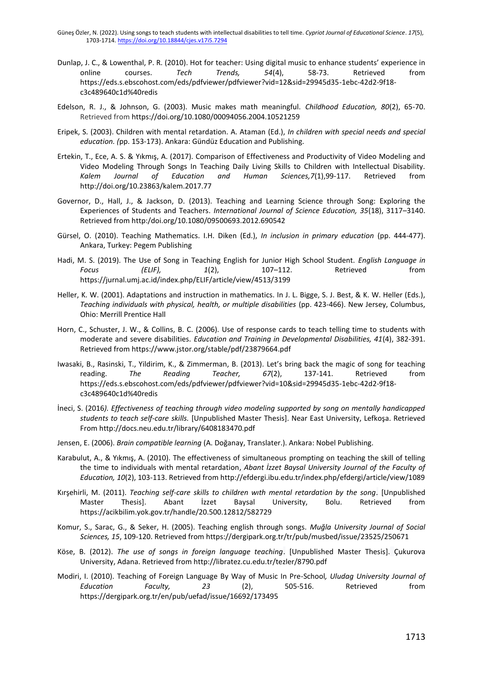- Dunlap, J. C., & Lowenthal, P. R. (2010). Hot for teacher: Using digital music to enhance students' experience in online courses. *Tech Trends, 54*(4), 58-73. Retrieved from https://eds.s.ebscohost.com/eds/pdfviewer/pdfviewer?vid=12&sid=29945d35-1ebc-42d2-9f18 c3c489640c1d%40redis
- Edelson, R. J., & Johnson, G. (2003). Music makes math meaningful. *Childhood Education, 80*(2), 65-70. Retrieved from <https://doi.org/10.1080/00094056.2004.10521259>
- Eripek, S. (2003). Children with mental retardation. A. Ataman (Ed.), *In children with special needs and special education. (*pp. 153-173). Ankara: Gündüz Education and Publishing.
- Ertekin, T., Ece, A. S. & Yıkmış, A. (2017). Comparison of Effectiveness and Productivity of Video Modeling and Video Modeling Through Songs In Teaching Daily Living Skills to Children with Intellectual Disability. *Kalem Journal of Education and Human Sciences,7*(1),99-117. Retrieved from http://doi.org/10.23863/kalem.2017.77
- Governor, D., Hall, J., & Jackson, D. (2013). Teaching and Learning Science through Song: Exploring the Experiences of Students and Teachers. *International Journal of Science Education, 35*(18), 3117–3140. Retrieved from http:/doi.org/10.1080/09500693.2012.690542
- Gürsel, O. (2010). Teaching Mathematics. I.H. Diken (Ed.), *In inclusion in primary education* (pp. 444-477). Ankara, Turkey: Pegem Publishing
- Hadi, M. S. (2019). The Use of Song in Teaching English for Junior High School Student. *English Language in Focus (ELIF), 1*(2), 107–112. Retrieved from https://jurnal.umj.ac.id/index.php/ELIF/article/view/4513/3199
- Heller, K. W. (2001). Adaptations and instruction in mathematics. In J. L. Bigge, S. J. Best, & K. W. Heller (Eds.), *Teaching individuals with physical, health, or multiple disabilities* (pp. 423-466). New Jersey, Columbus, Ohio: Merrill Prentice Hall
- Horn, C., Schuster, J. W., & Collins, B. C. (2006). Use of response cards to teach telling time to students with moderate and severe disabilities. *Education and Training in Developmental Disabilities, 41*(4), 382-391. Retrieved fro[m https://www.jstor.org/stable/pdf/23879664.pdf](https://www.jstor.org/stable/pdf/23879664.pdf)
- Iwasaki, B., Rasinski, T., Yildirim, K., & Zimmerman, B. (2013). Let's bring back the magic of song for teaching reading. *The Reading Teacher, 67*(2), 137-141. Retrieved from https://eds.s.ebscohost.com/eds/pdfviewer/pdfviewer?vid=10&sid=29945d35-1ebc-42d2-9f18 c3c489640c1d%40redis
- İneci, S. (2016*). Effectiveness of teaching through video modeling supported by song on mentally handicapped students to teach self-care skills.* [Unpublished Master Thesis]. Near East University, Lefkoşa. Retrieved From http://docs.neu.edu.tr/library/6408183470.pdf
- Jensen, E. (2006). *Brain compatible learning* (A. Doğanay, Translater.). Ankara: Nobel Publishing.
- Karabulut, A., & Yıkmış, A. (2010). The effectiveness of simultaneous prompting on teaching the skill of telling the time to individuals with mental retardation, *Abant İzzet Baysal University Journal of the Faculty of Education, 10*(2), 103-113. Retrieved from http://efdergi.ibu.edu.tr/index.php/efdergi/article/view/1089
- Kırşehirli, M. (2011). *Teaching self-care skills to children wıth mental retardation by the song.* [Unpublished Master Thesis]. Abant İzzet Baysal University, Bolu. Retrieved from https://acikbilim.yok.gov.tr/handle/20.500.12812/582729
- Komur, S., Sarac, G., & Seker, H. (2005). Teaching english through songs. *Muğla University Journal of Social Sciences, 15*, 109-120. Retrieved from https://dergipark.org.tr/tr/pub/musbed/issue/23525/250671
- Köse, B. (2012). *The use of songs in foreign language teaching*. [Unpublished Master Thesis]. Çukurova University, Adana. Retrieved from http://libratez.cu.edu.tr/tezler/8790.pdf
- Modiri, I. (2010). Teaching of Foreign Language By Way of Music In Pre-School*, Uludag University Journal of Education Faculty, 23* (2), 505-516. Retrieved from https://dergipark.org.tr/en/pub/uefad/issue/16692/173495